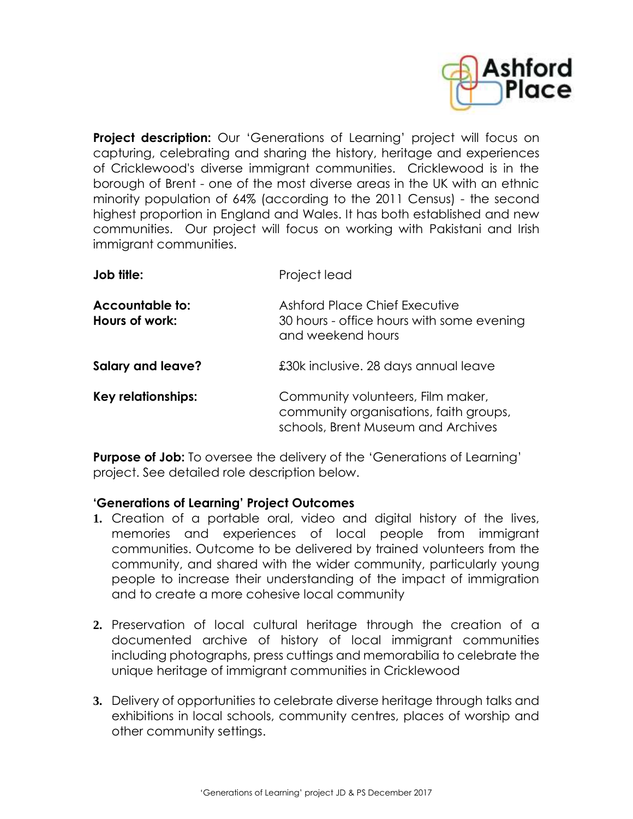

**Project description:** Our 'Generations of Learning' project will focus on capturing, celebrating and sharing the history, heritage and experiences of Cricklewood's diverse immigrant communities. Cricklewood is in the borough of Brent - one of the most diverse areas in the UK with an ethnic minority population of 64% (according to the 2011 Census) - the second highest proportion in England and Wales. It has both established and new communities. Our project will focus on working with Pakistani and Irish immigrant communities.

| Job title:                        | Project lead<br><b>Ashford Place Chief Executive</b><br>30 hours - office hours with some evening<br>and weekend hours |  |
|-----------------------------------|------------------------------------------------------------------------------------------------------------------------|--|
| Accountable to:<br>Hours of work: |                                                                                                                        |  |
| Salary and leave?                 | £30k inclusive. 28 days annual leave                                                                                   |  |
| Key relationships:                | Community volunteers, Film maker,<br>community organisations, faith groups,<br>schools, Brent Museum and Archives      |  |

**Purpose of Job:** To oversee the delivery of the 'Generations of Learning' project. See detailed role description below.

## **'Generations of Learning' Project Outcomes**

- **1.** Creation of a portable oral, video and digital history of the lives, memories and experiences of local people from immigrant communities. Outcome to be delivered by trained volunteers from the community, and shared with the wider community, particularly young people to increase their understanding of the impact of immigration and to create a more cohesive local community
- **2.** Preservation of local cultural heritage through the creation of a documented archive of history of local immigrant communities including photographs, press cuttings and memorabilia to celebrate the unique heritage of immigrant communities in Cricklewood
- **3.** Delivery of opportunities to celebrate diverse heritage through talks and exhibitions in local schools, community centres, places of worship and other community settings.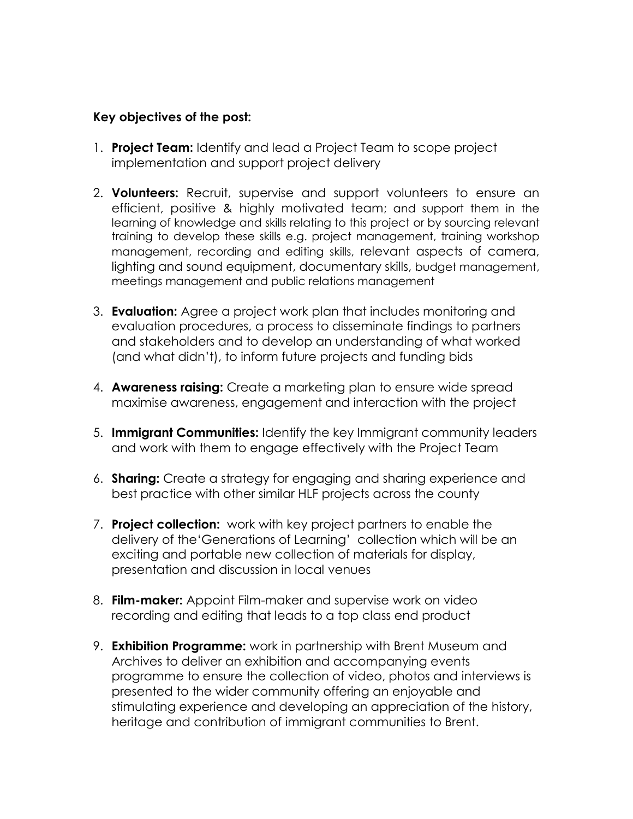## **Key objectives of the post:**

- 1. **Project Team:** Identify and lead a Project Team to scope project implementation and support project delivery
- 2. **Volunteers:** Recruit, supervise and support volunteers to ensure an efficient, positive & highly motivated team; and support them in the learning of knowledge and skills relating to this project or by sourcing relevant training to develop these skills e.g. project management, training workshop management, recording and editing skills, relevant aspects of camera, lighting and sound equipment, documentary skills, budget management, meetings management and public relations management
- 3. **Evaluation:** Agree a project work plan that includes monitoring and evaluation procedures, a process to disseminate findings to partners and stakeholders and to develop an understanding of what worked (and what didn't), to inform future projects and funding bids
- 4. **Awareness raising:** Create a marketing plan to ensure wide spread maximise awareness, engagement and interaction with the project
- 5. **Immigrant Communities:** Identify the key Immigrant community leaders and work with them to engage effectively with the Project Team
- 6. **Sharing:** Create a strategy for engaging and sharing experience and best practice with other similar HLF projects across the county
- 7. **Project collection:** work with key project partners to enable the delivery of the'Generations of Learning' collection which will be an exciting and portable new collection of materials for display, presentation and discussion in local venues
- 8. **Film-maker:** Appoint Film-maker and supervise work on video recording and editing that leads to a top class end product
- 9. **Exhibition Programme:** work in partnership with Brent Museum and Archives to deliver an exhibition and accompanying events programme to ensure the collection of video, photos and interviews is presented to the wider community offering an enjoyable and stimulating experience and developing an appreciation of the history, heritage and contribution of immigrant communities to Brent.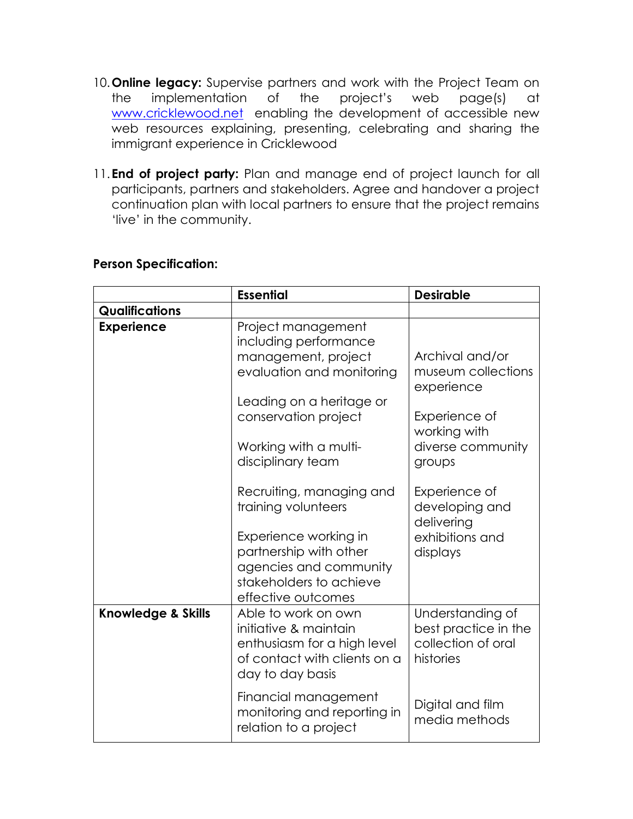- 10.**Online legacy:** Supervise partners and work with the Project Team on the implementation of the project's web page(s) at [www.cricklewood.net](http://www.cricklewood.net/) enabling the development of accessible new web resources explaining, presenting, celebrating and sharing the immigrant experience in Cricklewood
- 11.**End of project party:** Plan and manage end of project launch for all participants, partners and stakeholders. Agree and handover a project continuation plan with local partners to ensure that the project remains 'live' in the community.

## **Person Specification:**

|                               | <b>Essential</b>                                                                                                                                                              | <b>Desirable</b>                                                             |
|-------------------------------|-------------------------------------------------------------------------------------------------------------------------------------------------------------------------------|------------------------------------------------------------------------------|
| <b>Qualifications</b>         |                                                                                                                                                                               |                                                                              |
| <b>Experience</b>             | Project management<br>including performance<br>management, project<br>evaluation and monitoring<br>Leading on a heritage or<br>conservation project                           | Archival and/or<br>museum collections<br>experience<br>Experience of         |
|                               | Working with a multi-<br>disciplinary team                                                                                                                                    | working with<br>diverse community<br>groups                                  |
|                               | Recruiting, managing and<br>training volunteers<br>Experience working in<br>partnership with other<br>agencies and community<br>stakeholders to achieve<br>effective outcomes | Experience of<br>developing and<br>delivering<br>exhibitions and<br>displays |
| <b>Knowledge &amp; Skills</b> | Able to work on own<br>initiative & maintain<br>enthusiasm for a high level<br>of contact with clients on a<br>day to day basis                                               | Understanding of<br>best practice in the<br>collection of oral<br>histories  |
|                               | Financial management<br>monitoring and reporting in<br>relation to a project                                                                                                  | Digital and film<br>media methods                                            |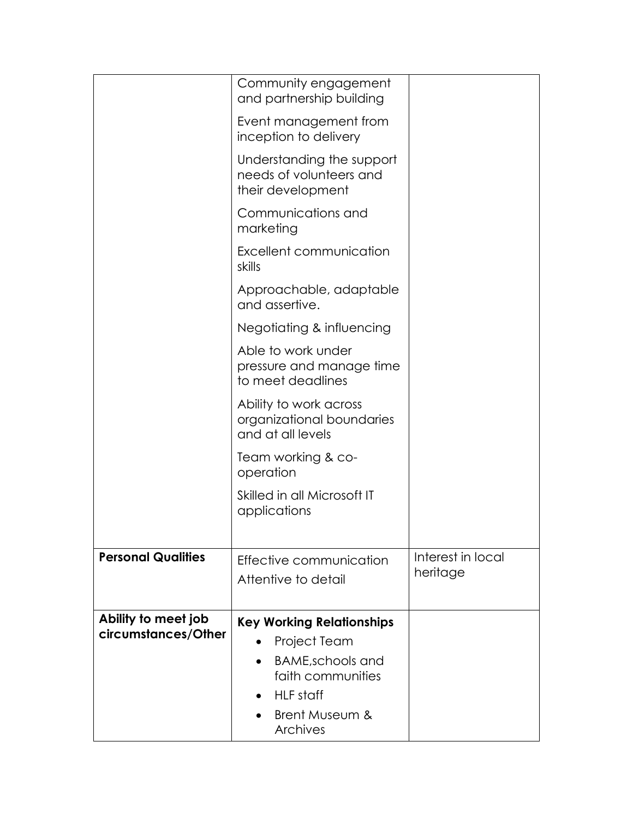|                                            | Community engagement<br>and partnership building                          |                               |
|--------------------------------------------|---------------------------------------------------------------------------|-------------------------------|
|                                            | Event management from<br>inception to delivery                            |                               |
|                                            | Understanding the support<br>needs of volunteers and<br>their development |                               |
|                                            | Communications and<br>marketing                                           |                               |
|                                            | Excellent communication<br>skills                                         |                               |
|                                            | Approachable, adaptable<br>and assertive.                                 |                               |
|                                            | Negotiating & influencing                                                 |                               |
|                                            | Able to work under<br>pressure and manage time<br>to meet deadlines       |                               |
|                                            | Ability to work across<br>organizational boundaries<br>and at all levels  |                               |
|                                            | Team working & co-<br>operation                                           |                               |
|                                            | Skilled in all Microsoft IT<br>applications                               |                               |
| <b>Personal Qualities</b>                  | Effective communication<br>Attentive to detail                            | Interest in local<br>heritage |
| Ability to meet job<br>circumstances/Other | <b>Key Working Relationships</b>                                          |                               |
|                                            | Project Team                                                              |                               |
|                                            | <b>BAME,schools and</b><br>faith communities                              |                               |
|                                            | HLF staff                                                                 |                               |
|                                            | Brent Museum &<br><b>Archives</b>                                         |                               |